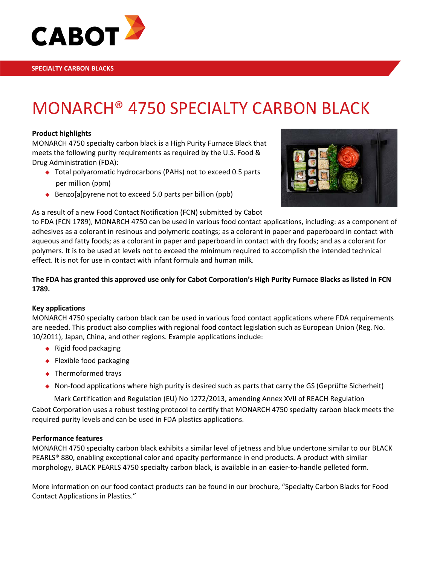

# MONARCH® 4750 SPECIALTY CARBON BLACK

#### **Product highlights**

MONARCH 4750 specialty carbon black is a High Purity Furnace Black that meets the following purity requirements as required by the U.S. Food & Drug Administration (FDA):

- ◆ Total polyaromatic hydrocarbons (PAHs) not to exceed 0.5 parts per million (ppm)
- Benzo[a] pyrene not to exceed 5.0 parts per billion (ppb)



### As a result of a new Food Contact Notification (FCN) submitted by Cabot

to FDA (FCN 1789), MONARCH 4750 can be used in various food contact applications, including: as a component of adhesives as a colorant in resinous and polymeric coatings; as a colorant in paper and paperboard in contact with aqueous and fatty foods; as a colorant in paper and paperboard in contact with dry foods; and as a colorant for polymers. It is to be used at levels not to exceed the minimum required to accomplish the intended technical effect. It is not for use in contact with infant formula and human milk.

### **The FDA has granted this approved use only for Cabot Corporation's High Purity Furnace Blacks as listed in FCN 1789.**

#### **Key applications**

MONARCH 4750 specialty carbon black can be used in various food contact applications where FDA requirements are needed. This product also complies with regional food contact legislation such as European Union (Reg. No. 10/2011), Japan, China, and other regions. Example applications include:

- $\leftarrow$  Rigid food packaging
- ◆ Flexible food packaging
- ◆ Thermoformed trays
- $\bullet$  Non-food applications where high purity is desired such as parts that carry the GS (Geprüfte Sicherheit)

Mark Certification and Regulation (EU) No 1272/2013, amending Annex XVII of REACH Regulation

Cabot Corporation uses a robust testing protocol to certify that MONARCH 4750 specialty carbon black meets the required purity levels and can be used in FDA plastics applications.

#### **Performance features**

MONARCH 4750 specialty carbon black exhibits a similar level of jetness and blue undertone similar to our BLACK PEARLS® 880, enabling exceptional color and opacity performance in end products. A product with similar morphology, BLACK PEARLS 4750 specialty carbon black, is available in an easier-to-handle pelleted form.

More information on our food contact products can be found in our brochure, "Specialty Carbon Blacks for Food Contact Applications in Plastics."